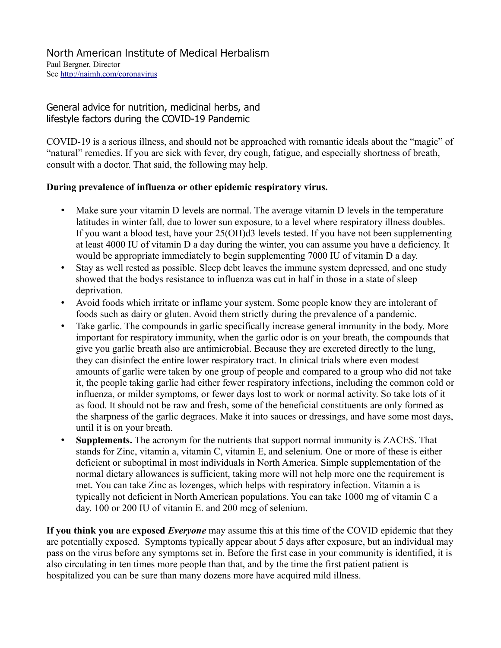## General advice for nutrition, medicinal herbs, and lifestyle factors during the COVID-19 Pandemic

COVID-19 is a serious illness, and should not be approached with romantic ideals about the "magic" of "natural" remedies. If you are sick with fever, dry cough, fatigue, and especially shortness of breath, consult with a doctor. That said, the following may help.

## **During prevalence of influenza or other epidemic respiratory virus.**

- Make sure your vitamin D levels are normal. The average vitamin D levels in the temperature latitudes in winter fall, due to lower sun exposure, to a level where respiratory illness doubles. If you want a blood test, have your 25(OH)d3 levels tested. If you have not been supplementing at least 4000 IU of vitamin D a day during the winter, you can assume you have a deficiency. It would be appropriate immediately to begin supplementing 7000 IU of vitamin D a day.
- Stay as well rested as possible. Sleep debt leaves the immune system depressed, and one study showed that the bodys resistance to influenza was cut in half in those in a state of sleep deprivation.
- Avoid foods which irritate or inflame your system. Some people know they are intolerant of foods such as dairy or gluten. Avoid them strictly during the prevalence of a pandemic.
- Take garlic. The compounds in garlic specifically increase general immunity in the body. More important for respiratory immunity, when the garlic odor is on your breath, the compounds that give you garlic breath also are antimicrobial. Because they are excreted directly to the lung, they can disinfect the entire lower respiratory tract. In clinical trials where even modest amounts of garlic were taken by one group of people and compared to a group who did not take it, the people taking garlic had either fewer respiratory infections, including the common cold or influenza, or milder symptoms, or fewer days lost to work or normal activity. So take lots of it as food. It should not be raw and fresh, some of the beneficial constituents are only formed as the sharpness of the garlic degraces. Make it into sauces or dressings, and have some most days, until it is on your breath.
- **Supplements.** The acronym for the nutrients that support normal immunity is ZACES. That stands for Zinc, vitamin a, vitamin C, vitamin E, and selenium. One or more of these is either deficient or suboptimal in most individuals in North America. Simple supplementation of the normal dietary allowances is sufficient, taking more will not help more one the requirement is met. You can take Zinc as lozenges, which helps with respiratory infection. Vitamin a is typically not deficient in North American populations. You can take 1000 mg of vitamin C a day. 100 or 200 IU of vitamin E. and 200 mcg of selenium.

**If you think you are exposed** *Everyone* may assume this at this time of the COVID epidemic that they are potentially exposed. Symptoms typically appear about 5 days after exposure, but an individual may pass on the virus before any symptoms set in. Before the first case in your community is identified, it is also circulating in ten times more people than that, and by the time the first patient patient is hospitalized you can be sure than many dozens more have acquired mild illness.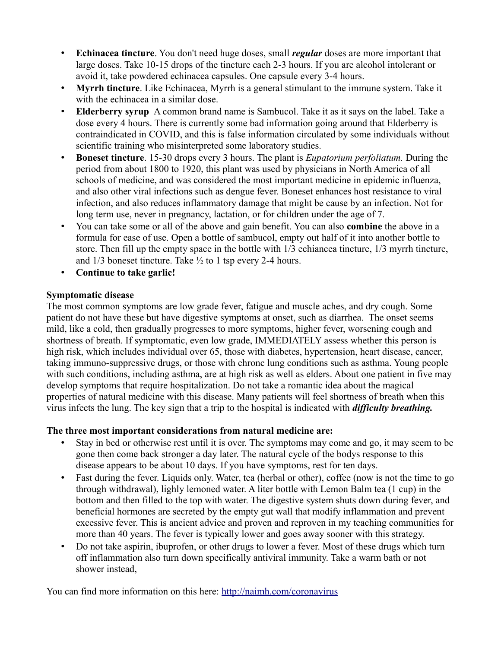- **Echinacea tincture**. You don't need huge doses, small *regular* doses are more important that large doses. Take 10-15 drops of the tincture each 2-3 hours. If you are alcohol intolerant or avoid it, take powdered echinacea capsules. One capsule every 3-4 hours.
- **Myrrh tincture**. Like Echinacea, Myrrh is a general stimulant to the immune system. Take it with the echinacea in a similar dose.
- **Elderberry syrup** A common brand name is Sambucol. Take it as it says on the label. Take a dose every 4 hours. There is currently some bad information going around that Elderberry is contraindicated in COVID, and this is false information circulated by some individuals without scientific training who misinterpreted some laboratory studies.
- **Boneset tincture**. 15-30 drops every 3 hours. The plant is *Eupatorium perfoliatum.* During the period from about 1800 to 1920, this plant was used by physicians in North America of all schools of medicine, and was considered the most important medicine in epidemic influenza, and also other viral infections such as dengue fever. Boneset enhances host resistance to viral infection, and also reduces inflammatory damage that might be cause by an infection. Not for long term use, never in pregnancy, lactation, or for children under the age of 7.
- You can take some or all of the above and gain benefit. You can also **combine** the above in a formula for ease of use. Open a bottle of sambucol, empty out half of it into another bottle to store. Then fill up the empty space in the bottle with 1/3 echiancea tincture, 1/3 myrrh tincture, and 1/3 boneset tincture. Take ½ to 1 tsp every 2-4 hours.
- **Continue to take garlic!**

## **Symptomatic disease**

The most common symptoms are low grade fever, fatigue and muscle aches, and dry cough. Some patient do not have these but have digestive symptoms at onset, such as diarrhea. The onset seems mild, like a cold, then gradually progresses to more symptoms, higher fever, worsening cough and shortness of breath. If symptomatic, even low grade, IMMEDIATELY assess whether this person is high risk, which includes individual over 65, those with diabetes, hypertension, heart disease, cancer, taking immuno-suppressive drugs, or those with chronc lung conditions such as asthma. Young people with such conditions, including asthma, are at high risk as well as elders. About one patient in five may develop symptoms that require hospitalization. Do not take a romantic idea about the magical properties of natural medicine with this disease. Many patients will feel shortness of breath when this virus infects the lung. The key sign that a trip to the hospital is indicated with *difficulty breathing.*

## **The three most important considerations from natural medicine are:**

- Stay in bed or otherwise rest until it is over. The symptoms may come and go, it may seem to be gone then come back stronger a day later. The natural cycle of the bodys response to this disease appears to be about 10 days. If you have symptoms, rest for ten days.
- Fast during the fever. Liquids only. Water, tea (herbal or other), coffee (now is not the time to go through withdrawal), lighly lemoned water. A liter bottle with Lemon Balm tea (1 cup) in the bottom and then filled to the top with water. The digestive system shuts down during fever, and beneficial hormones are secreted by the empty gut wall that modify inflammation and prevent excessive fever. This is ancient advice and proven and reproven in my teaching communities for more than 40 years. The fever is typically lower and goes away sooner with this strategy.
- Do not take aspirin, ibuprofen, or other drugs to lower a fever. Most of these drugs which turn off inflammation also turn down specifically antiviral immunity. Take a warm bath or not shower instead,

You can find more information on this here:<http://naimh.com/coronavirus>